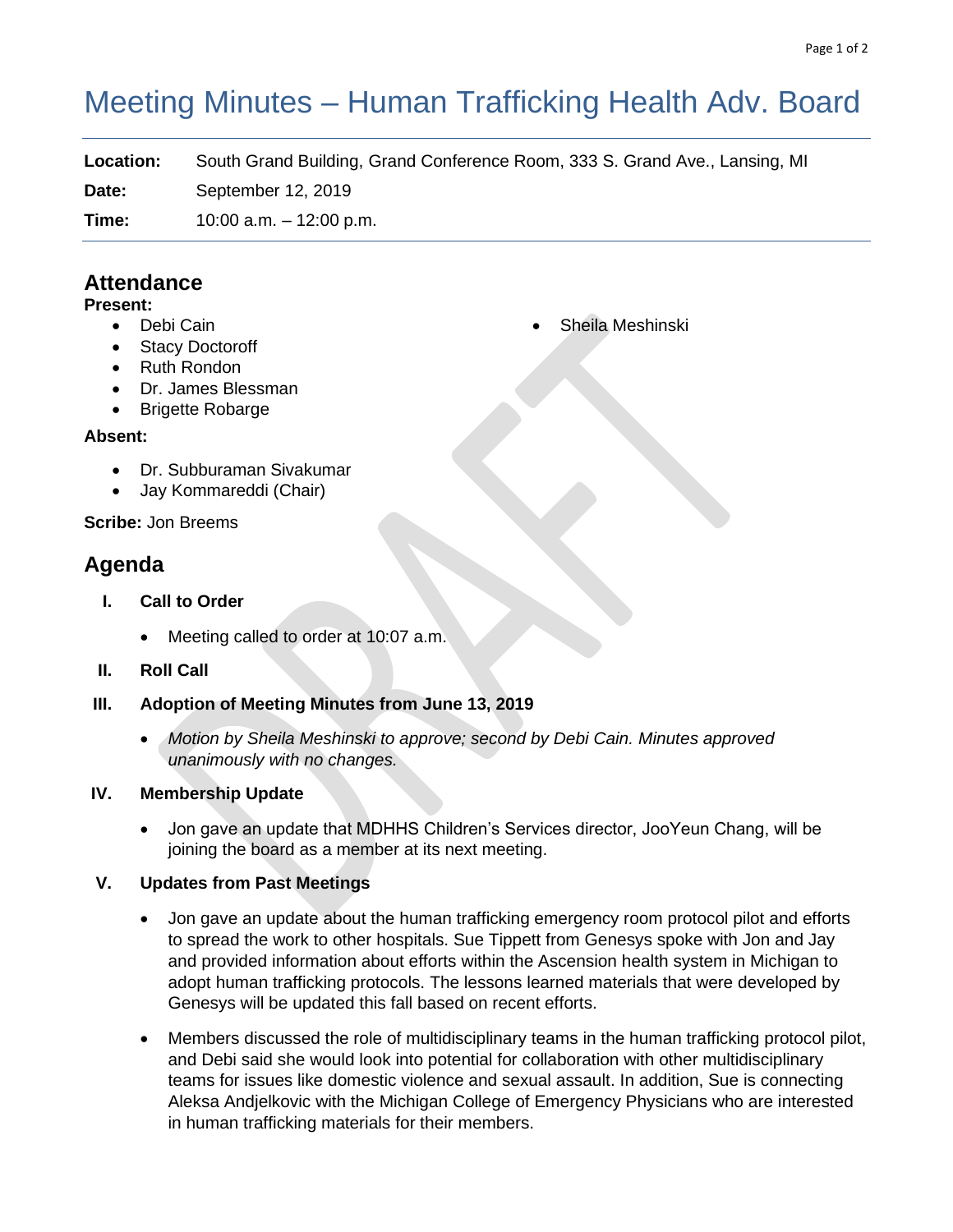# Meeting Minutes – Human Trafficking Health Adv. Board

**Location:** South Grand Building, Grand Conference Room, 333 S. Grand Ave., Lansing, MI

**Date:** September 12, 2019

**Time:** 10:00 a.m. – 12:00 p.m.

# **Attendance**

#### **Present:**

- Debi Cain
- **Stacy Doctoroff**
- Ruth Rondon
- Dr. James Blessman
- Brigette Robarge

# **Absent:**

- Dr. Subburaman Sivakumar
- Jay Kommareddi (Chair)

**Scribe:** Jon Breems

# **Agenda**

- **I. Call to Order**
	- Meeting called to order at 10:07 a.m.
- **II. Roll Call**
- **III. Adoption of Meeting Minutes from June 13, 2019**
	- *Motion by Sheila Meshinski to approve; second by Debi Cain. Minutes approved unanimously with no changes.*

# **IV. Membership Update**

• Jon gave an update that MDHHS Children's Services director, JooYeun Chang, will be joining the board as a member at its next meeting.

# **V. Updates from Past Meetings**

- Jon gave an update about the human trafficking emergency room protocol pilot and efforts to spread the work to other hospitals. Sue Tippett from Genesys spoke with Jon and Jay and provided information about efforts within the Ascension health system in Michigan to adopt human trafficking protocols. The lessons learned materials that were developed by Genesys will be updated this fall based on recent efforts.
- Members discussed the role of multidisciplinary teams in the human trafficking protocol pilot, and Debi said she would look into potential for collaboration with other multidisciplinary teams for issues like domestic violence and sexual assault. In addition, Sue is connecting Aleksa Andjelkovic with the Michigan College of Emergency Physicians who are interested in human trafficking materials for their members.

• Sheila Meshinski